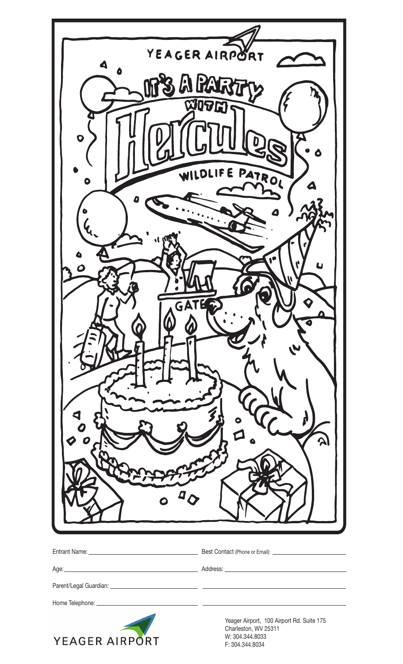|                           | YEAGER AIRPORT                                             |
|---------------------------|------------------------------------------------------------|
| $\blacktriangle$          |                                                            |
| A PART                    |                                                            |
| <b>XIDTI</b>              |                                                            |
|                           |                                                            |
| $\boldsymbol{\mathsf{Q}}$ |                                                            |
|                           |                                                            |
|                           | E PATROL                                                   |
| O                         |                                                            |
|                           |                                                            |
|                           |                                                            |
|                           |                                                            |
|                           |                                                            |
|                           |                                                            |
|                           |                                                            |
| GA                        |                                                            |
|                           |                                                            |
|                           |                                                            |
|                           |                                                            |
|                           |                                                            |
|                           |                                                            |
|                           |                                                            |
|                           |                                                            |
|                           |                                                            |
|                           |                                                            |
|                           |                                                            |
|                           |                                                            |
|                           |                                                            |
|                           |                                                            |
|                           |                                                            |
|                           |                                                            |
|                           |                                                            |
| Home Telephone: _         |                                                            |
|                           | Yeager Airport, 100 Airport Rd. Suite 175                  |
| YEAGER AIRPORT            | Charleston, WV 25311<br>W: 304.344.8033<br>F: 304.344.8034 |

W: 304.344.8033 F: 304.344.8034